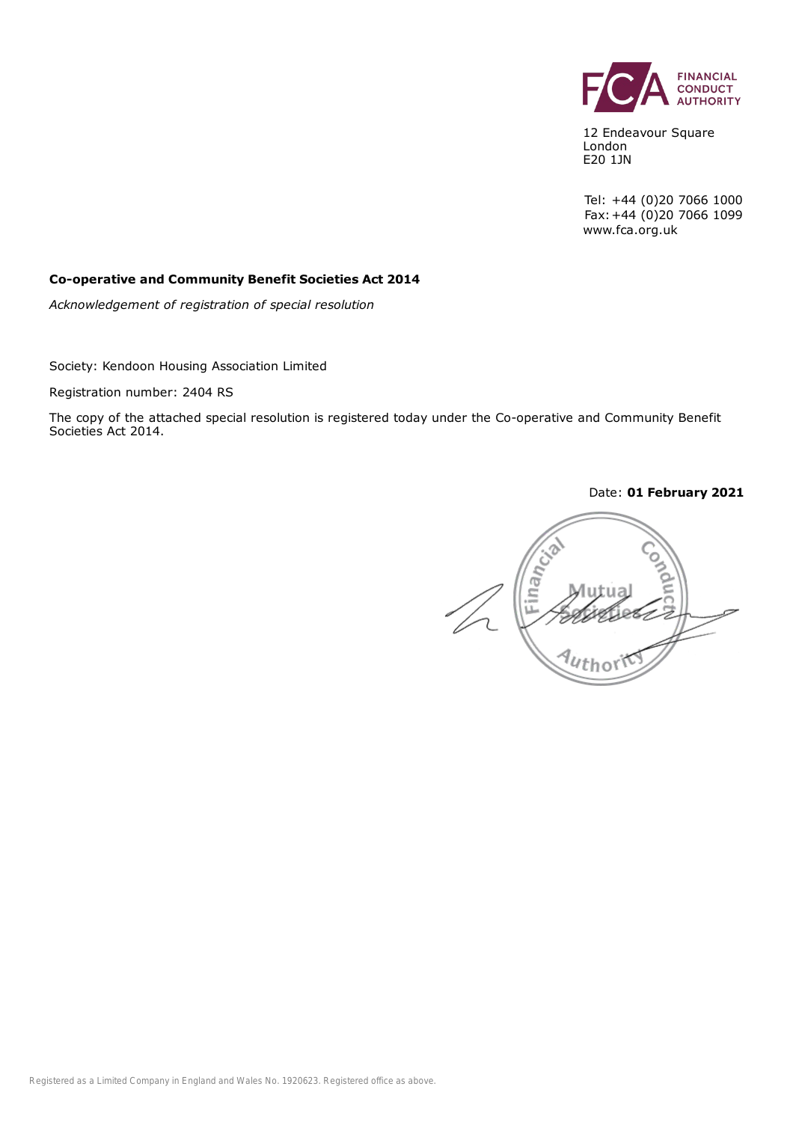

12 Endeavour Square London E20 1JN

Tel: +44 (0)20 7066 1000 Fax:+44 (0)20 7066 1099 www.fca.org.uk

#### **Co-operative and Community Benefit Societies Act 2014**

*Acknowledgement of registration of special resolution*

Society: Kendoon Housing Association Limited

Registration number: 2404 RS

The copy of the attached special resolution is registered today under the Co-operative and Community Benefit Societies Act 2014.

Date: **01 February 2021**

Finan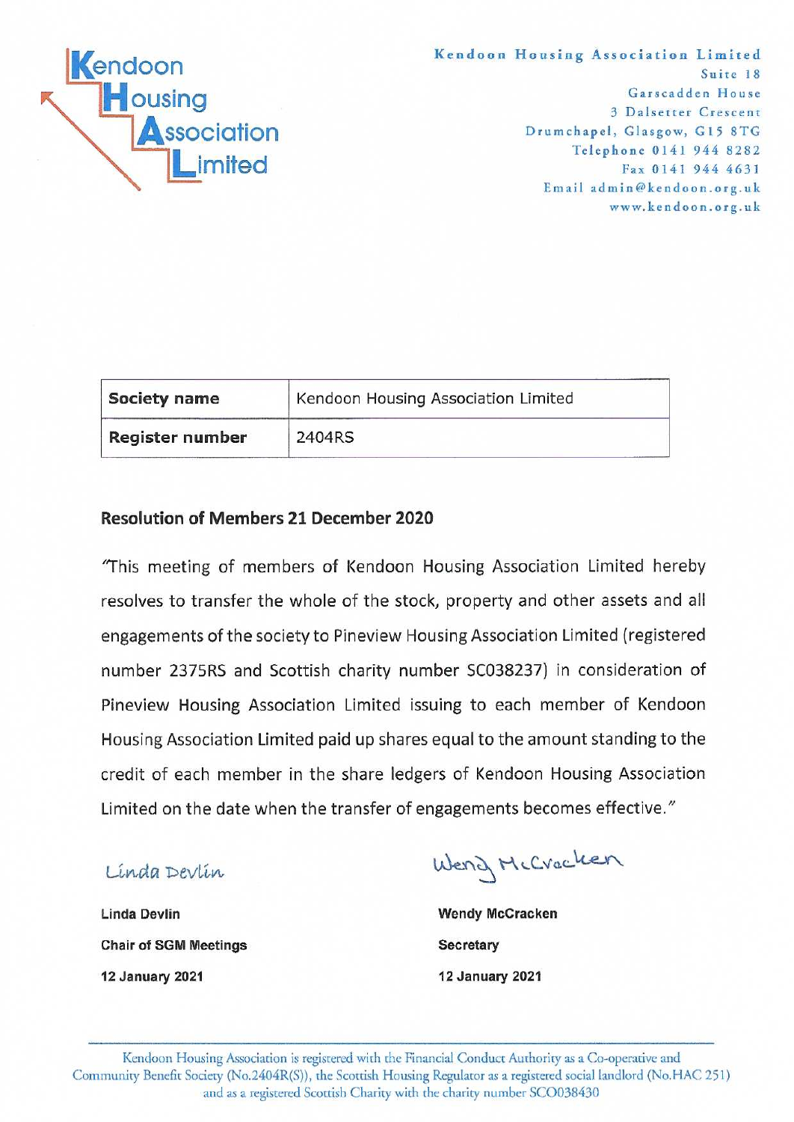

Kendoon Housing Association Limited Suite 18 Garscadden House 3 Dalsetter Crescent Drumchapel, Glasgow, G15 8TG Telephone 0141 944 8282 Fax 0141 944 4631 Email admin@kendoon.org.uk www.kendoon.org.uk

| Society name    | Kendoon Housing Association Limited |  |
|-----------------|-------------------------------------|--|
| Register number | 2404RS                              |  |

#### **Resolution of Members 21 December 2020**

"This meeting of members of Kendoon Housing Association Limited hereby resolves to transfer the whole of the stock, property and other assets and all engagements of the society to Pineview Housing Association Limited (registered number 2375RS and Scottish charity number SC038237) in consideration of Pineview Housing Association Limited issuing to each member of Kendoon Housing Association Limited paid up shares equal to the amount standing to the credit of each member in the share ledgers of Kendoon Housing Association Limited on the date when the transfer of engagements becomes effective."

Linda Devlin

Weng McCracken

**Linda Devlin Chair of SGM Meetings 12 January 2021** 

**Wendy McCracken** Secretary **12 January 2021**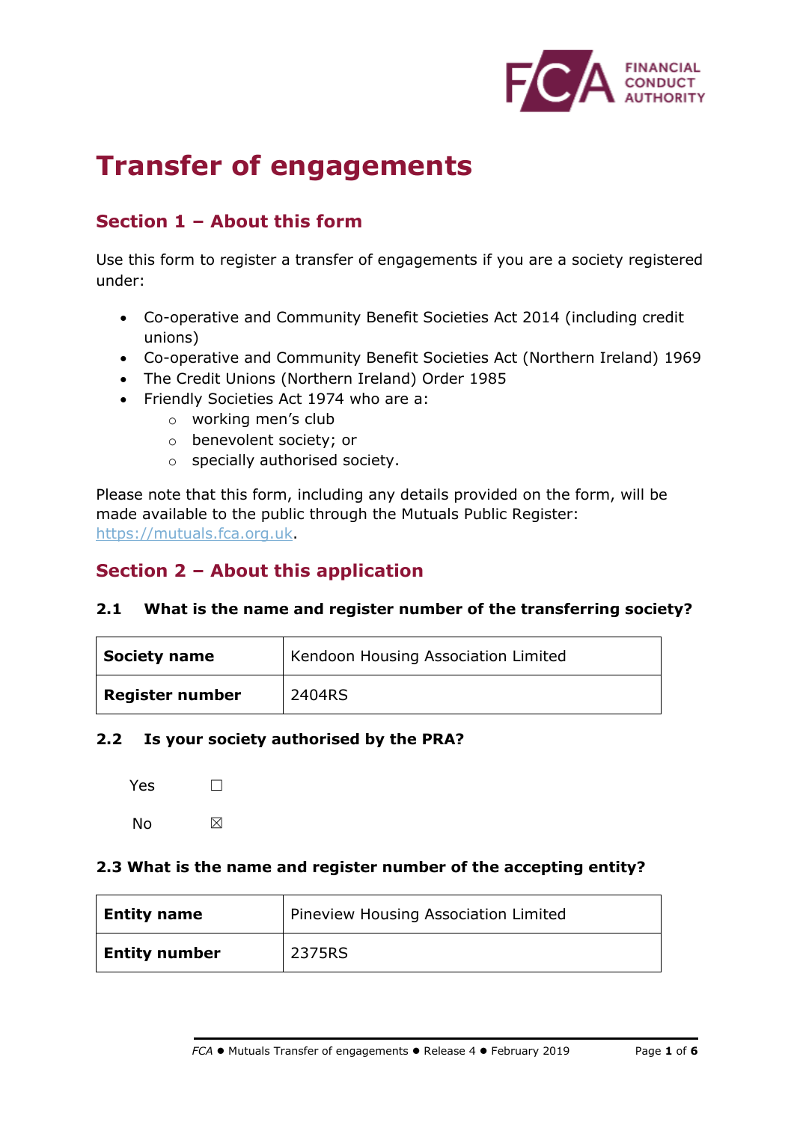

# **Transfer of engagements**

## **Section 1 – About this form**

Use this form to register a transfer of engagements if you are a society registered under:

- Co-operative and Community Benefit Societies Act 2014 (including credit unions)
- Co-operative and Community Benefit Societies Act (Northern Ireland) 1969
- The Credit Unions (Northern Ireland) Order 1985
- Friendly Societies Act 1974 who are a:
	- o working men's club
	- o benevolent society; or
	- o specially authorised society.

Please note that this form, including any details provided on the form, will be made available to the public through the Mutuals Public Register: [https://mutuals.fca.org.uk.](https://mutuals.fca.org.uk/)

## **Section 2 – About this application**

#### **2.1 What is the name and register number of the transferring society?**

| <b>Society name</b> | Kendoon Housing Association Limited |
|---------------------|-------------------------------------|
| Register number     | 2404RS                              |

#### **2.2 Is your society authorised by the PRA?**

| Yes | $\mathbf{I}$ |
|-----|--------------|
| N٥  | ⊠            |

#### **2.3 What is the name and register number of the accepting entity?**

| Entity name          | Pineview Housing Association Limited |
|----------------------|--------------------------------------|
| <b>Entity number</b> | 2375RS                               |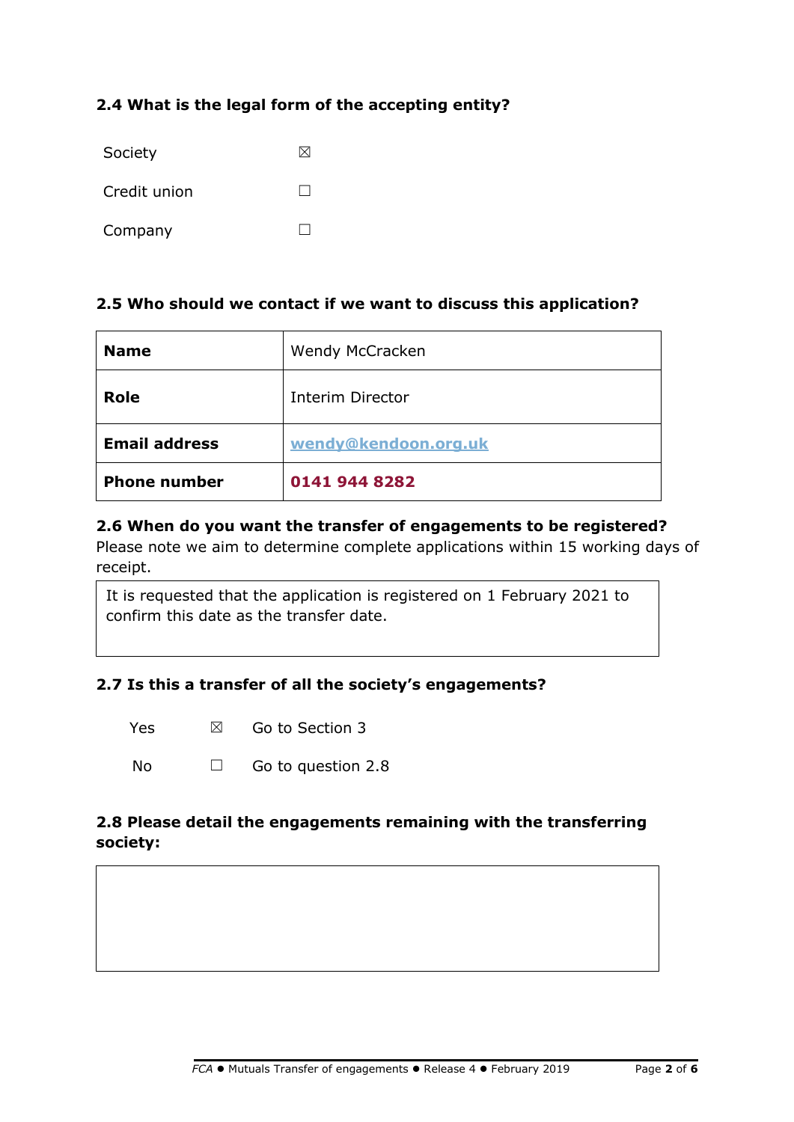### **2.4 What is the legal form of the accepting entity?**

| Society      |  |
|--------------|--|
| Credit union |  |
| Company      |  |

#### **2.5 Who should we contact if we want to discuss this application?**

| <b>Name</b>          | Wendy McCracken         |
|----------------------|-------------------------|
| <b>Role</b>          | <b>Interim Director</b> |
| <b>Email address</b> | wendy@kendoon.org.uk    |
| <b>Phone number</b>  | 0141 944 8282           |

#### **2.6 When do you want the transfer of engagements to be registered?**

Please note we aim to determine complete applications within 15 working days of receipt.

It is requested that the application is registered on 1 February 2021 to confirm this date as the transfer date.

#### **2.7 Is this a transfer of all the society's engagements?**

| Yes<br>Go to Section 3<br>⊠ |  |
|-----------------------------|--|
|-----------------------------|--|

| No<br>$\Box$ | Go to question 2.8 |
|--------------|--------------------|
|--------------|--------------------|

#### **2.8 Please detail the engagements remaining with the transferring society:**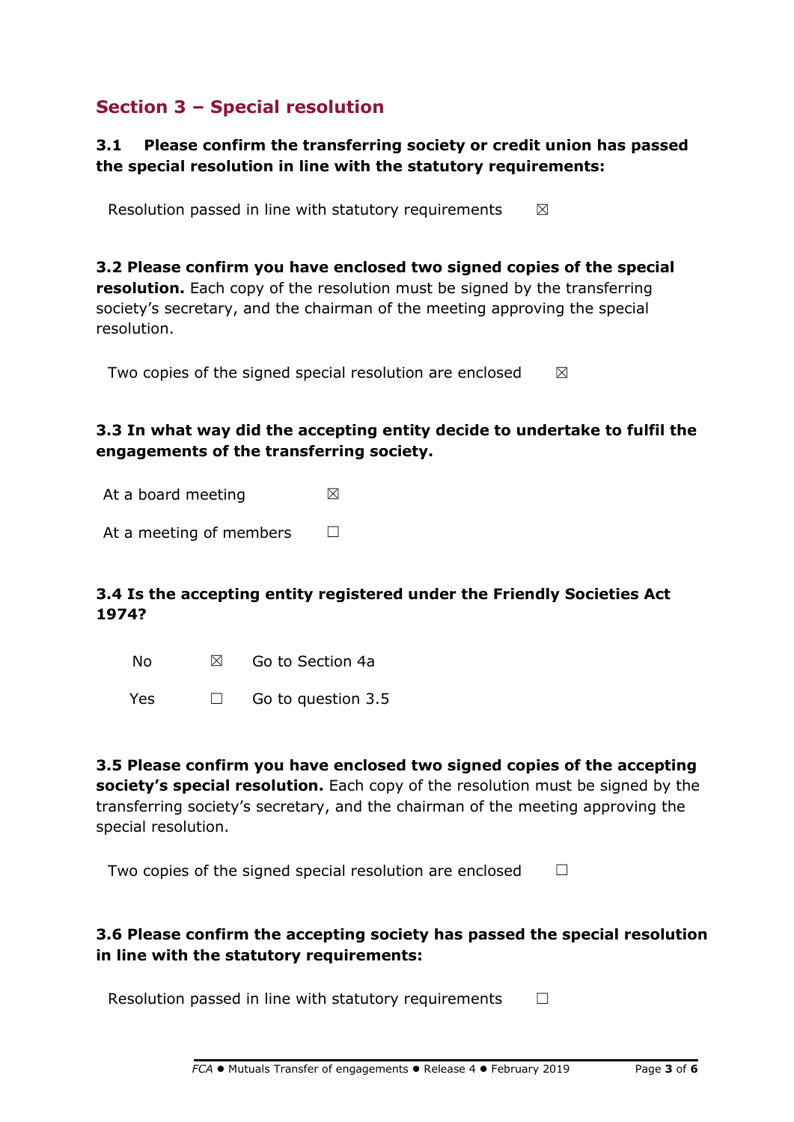## **Section 3 – Special resolution**

#### **3.1 Please confirm the transferring society or credit union has passed the special resolution in line with the statutory requirements:**

Resolution passed in line with statutory requirements  $\boxtimes$ 

**3.2 Please confirm you have enclosed two signed copies of the special resolution.** Each copy of the resolution must be signed by the transferring society's secretary, and the chairman of the meeting approving the special resolution.

Two copies of the signed special resolution are enclosed  $\boxtimes$ 

#### **3.3 In what way did the accepting entity decide to undertake to fulfil the engagements of the transferring society.**

At a board meeting  $\boxtimes$ 

At a meeting of members  $\Box$ 

#### **3.4 Is the accepting entity registered under the Friendly Societies Act 1974?**

| No | ⊠ | Go to Section 4a |  |
|----|---|------------------|--|
|    |   |                  |  |

Yes □ Go to question 3.5

**3.5 Please confirm you have enclosed two signed copies of the accepting society's special resolution.** Each copy of the resolution must be signed by the transferring society's secretary, and the chairman of the meeting approving the special resolution.

|  |  |  | Two copies of the signed special resolution are enclosed |  |
|--|--|--|----------------------------------------------------------|--|
|  |  |  |                                                          |  |

#### **3.6 Please confirm the accepting society has passed the special resolution in line with the statutory requirements:**

Resolution passed in line with statutory requirements  $\Box$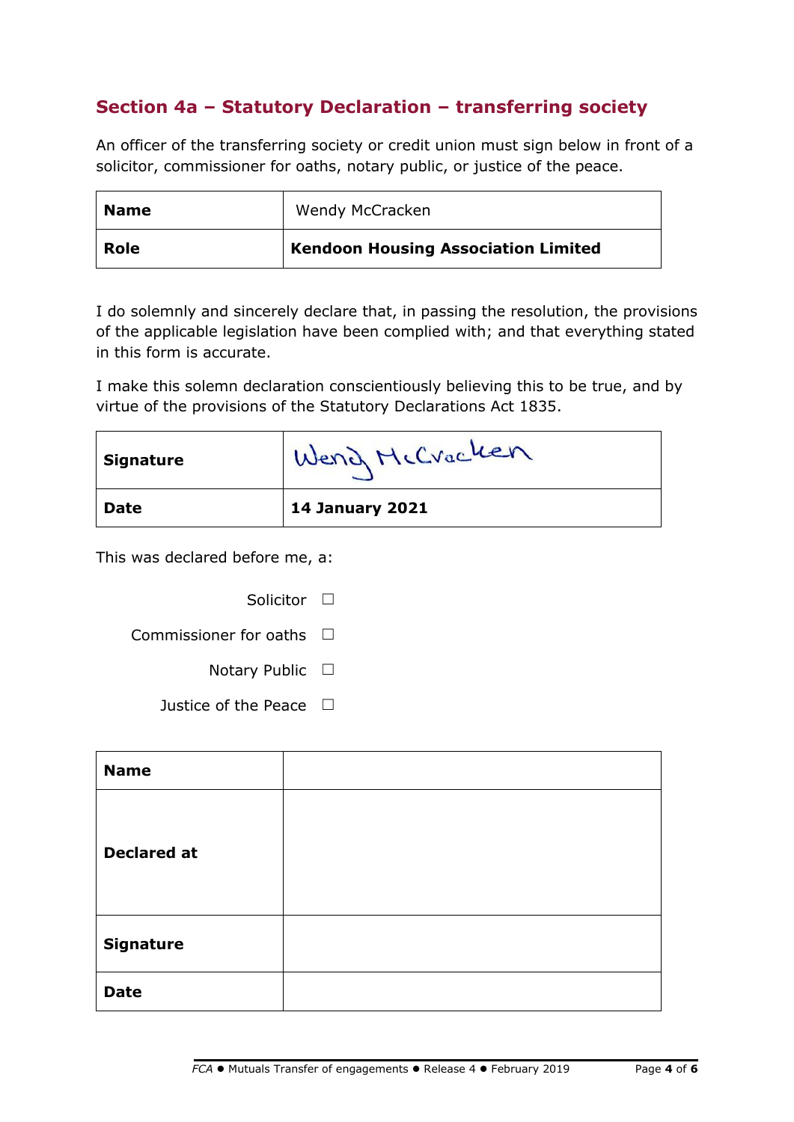## **Section 4a – Statutory Declaration – transferring society**

An officer of the transferring society or credit union must sign below in front of a solicitor, commissioner for oaths, notary public, or justice of the peace.

| Name | Wendy McCracken                            |
|------|--------------------------------------------|
| Role | <b>Kendoon Housing Association Limited</b> |

I do solemnly and sincerely declare that, in passing the resolution, the provisions of the applicable legislation have been complied with; and that everything stated in this form is accurate.

I make this solemn declaration conscientiously believing this to be true, and by virtue of the provisions of the Statutory Declarations Act 1835.

| <b>Signature</b> | Wend McCracken         |
|------------------|------------------------|
| <b>Date</b>      | <b>14 January 2021</b> |

This was declared before me, a:

| Solicitor |  |
|-----------|--|
|           |  |

Commissioner for oaths  $\Box$ 

Notary Public □

Justice of the Peace  $\Box$ 

| <b>Name</b>        |  |
|--------------------|--|
| <b>Declared at</b> |  |
| <b>Signature</b>   |  |
| <b>Date</b>        |  |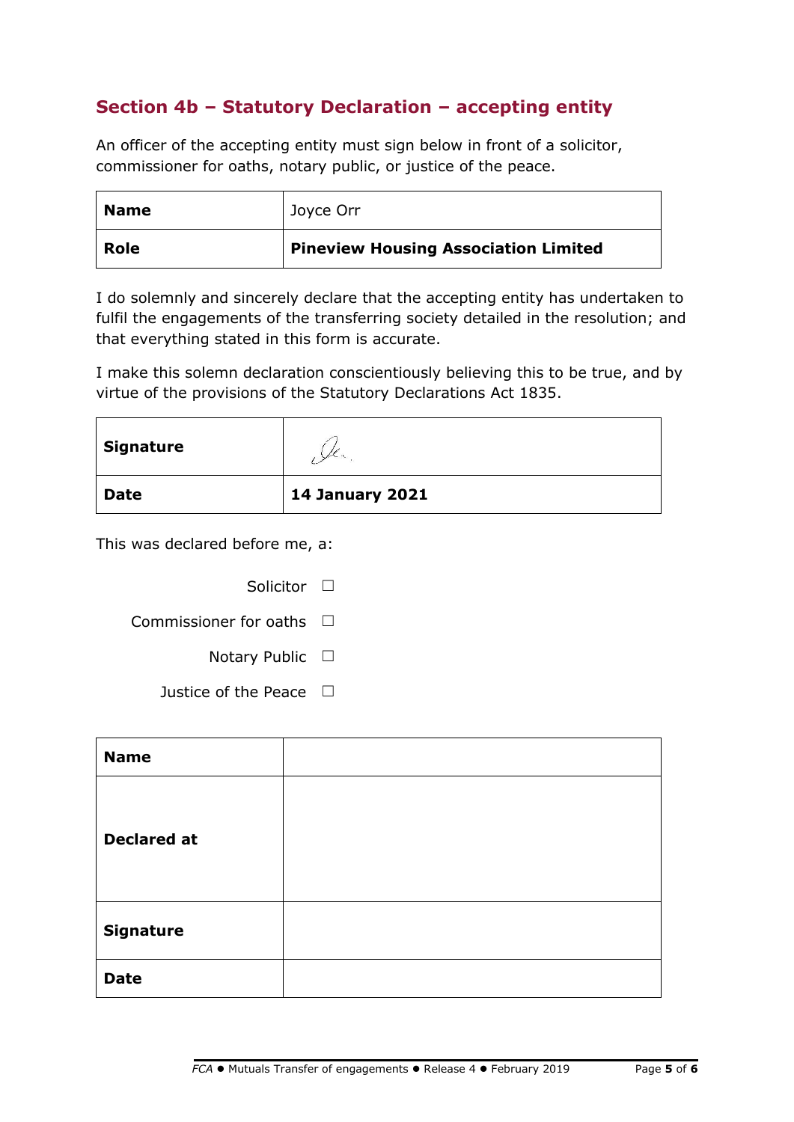## **Section 4b – Statutory Declaration – accepting entity**

An officer of the accepting entity must sign below in front of a solicitor, commissioner for oaths, notary public, or justice of the peace.

| <b>Name</b> | Joyce Orr                                   |
|-------------|---------------------------------------------|
| <b>Role</b> | <b>Pineview Housing Association Limited</b> |

I do solemnly and sincerely declare that the accepting entity has undertaken to fulfil the engagements of the transferring society detailed in the resolution; and that everything stated in this form is accurate.

I make this solemn declaration conscientiously believing this to be true, and by virtue of the provisions of the Statutory Declarations Act 1835.

| Signature   |                        |
|-------------|------------------------|
| <b>Date</b> | <b>14 January 2021</b> |

This was declared before me, a:

| Solicitor II                      |   |  |
|-----------------------------------|---|--|
| Commissioner for oaths $\;\;\Box$ |   |  |
| Notary Public                     | ப |  |
| Justice of the Peace              |   |  |

| <b>Name</b>        |  |
|--------------------|--|
| <b>Declared at</b> |  |
| <b>Signature</b>   |  |
| <b>Date</b>        |  |